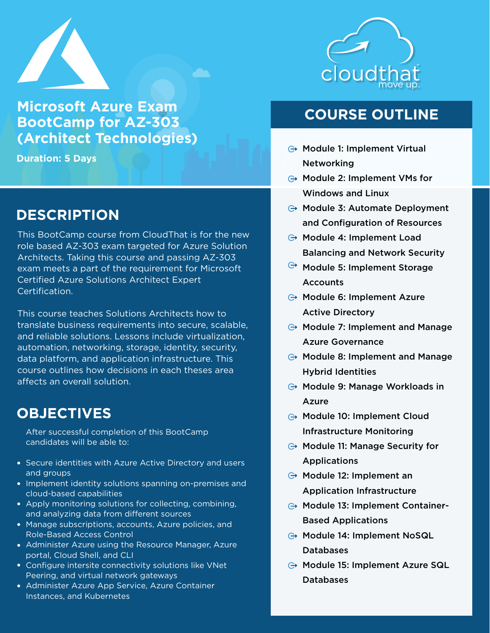

**Microsoft Azure Exam BootCamp for AZ-303 (Architect Technologies)**

**Duration: 5 Days**

### **DESCRIPTION**

This BootCamp course from CloudThat is for the new role based AZ-303 exam targeted for Azure Solution Architects. Taking this course and passing AZ-303 exam meets a part of the requirement for Microsoft Certified Azure Solutions Architect Expert Certification.

This course teaches Solutions Architects how to translate business requirements into secure, scalable, and reliable solutions. Lessons include virtualization, automation, networking, storage, identity, security, data platform, and application infrastructure. This course outlines how decisions in each theses area affects an overall solution.

#### **OBJECTIVES**

After successful completion of this BootCamp candidates will be able to:

- Secure identities with Azure Active Directory and users and groups
- Implement identity solutions spanning on-premises and cloud-based capabilities
- Apply monitoring solutions for collecting, combining, and analyzing data from different sources
- Manage subscriptions, accounts, Azure policies, and Role-Based Access Control
- Administer Azure using the Resource Manager, Azure portal, Cloud Shell, and CLI
- **Configure intersite connectivity solutions like VNet** Peering, and virtual network gateways
- Administer Azure App Service, Azure Container Instances, and Kubernetes



### **COURSE OUTLINE**

- $\ominus$  Module 1: Implement Virtual Networking
- $\ominus$  Module 2: Implement VMs for Windows and Linux
- $\ominus$  Module 3: Automate Deployment and Configuration of Resources
- $\ominus$  Module 4: Implement Load Balancing and Network Security
- $\Theta$  Module 5: Implement Storage **Accounts**
- $\ominus$  Module 6: Implement Azure Active Directory
- $\ominus$  Module 7: Implement and Manage Azure Governance
- $\ominus$  Module 8: Implement and Manage Hybrid Identities
- $\ominus$  Module 9: Manage Workloads in Azure
- **→ Module 10: Implement Cloud** Infrastructure Monitoring
- $\ominus$  Module 11: Manage Security for Applications
- $\ominus$  Module 12: Implement an Application Infrastructure
- $\ominus$  Module 13: Implement Container-Based Applications
- **⊕ Module 14: Implement NoSQL** Databases
- Module 15: Implement Azure SQL Databases